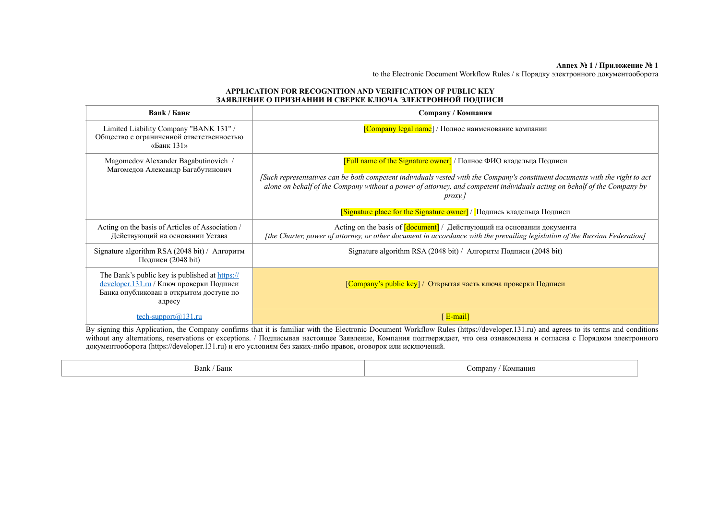## **Annex № 1 / Приложение № 1**

to the Electronic Document Workflow Rules / к Порядку электронного документооборота

## **APPLICATION FOR RECOGNITION AND VERIFICATION OF PUBLIC KEY ЗАЯВЛЕНИЕ О ПРИЗНАНИИ И СВЕРКЕ КЛЮЧА ЭЛЕКТРОННОЙ ПОДПИСИ**

| Bank / Банк                                                                                                                                     | <b>Сотрапу / Компания</b>                                                                                                                                                                                                                                                                                                                          |
|-------------------------------------------------------------------------------------------------------------------------------------------------|----------------------------------------------------------------------------------------------------------------------------------------------------------------------------------------------------------------------------------------------------------------------------------------------------------------------------------------------------|
| Limited Liability Company "BANK 131" /<br>Общество с ограниченной ответственностью<br>«Банк 131»                                                | [Company legal name] / Полное наименование компании                                                                                                                                                                                                                                                                                                |
| Magomedov Alexander Bagabutinovich /<br>Магомедов Александр Багабутинович                                                                       | <b>[Full name of the Signature owner]</b> / Полное ФИО владельца Подписи<br>[Such representatives can be both competent individuals vested with the Company's constituent documents with the right to act<br>alone on behalf of the Company without a power of attorney, and competent individuals acting on behalf of the Company by<br>$prox$ y. |
|                                                                                                                                                 | $[S$ ignature place for the Signature owner $]/$ Подпись владельца Подписи                                                                                                                                                                                                                                                                         |
| Acting on the basis of Articles of Association /<br>Действующий на основании Устава                                                             | Acting on the basis of $\lceil$ document $\rceil$ / Действующий на основании документа<br>[the Charter, power of attorney, or other document in accordance with the prevailing legislation of the Russian Federation]                                                                                                                              |
| Signature algorithm RSA (2048 bit) / Алгоритм<br>Подписи (2048 bit)                                                                             | Signature algorithm RSA (2048 bit) / Алгоритм Подписи (2048 bit)                                                                                                                                                                                                                                                                                   |
| The Bank's public key is published at https://<br>developer.131.ru / Ключ проверки Подписи<br>Банка опубликован в открытом доступе по<br>адресу | [Company's public key] / Открытая часть ключа проверки Подписи                                                                                                                                                                                                                                                                                     |
| tech-support $@131.ru$                                                                                                                          | [ $E$ -mail]                                                                                                                                                                                                                                                                                                                                       |

By signing this Application, the Company confirms that it is familiar with the Electronic Document Workflow Rules (https://developer.131.ru) and agrees to its terms and conditions without any alternations, reservations or exceptions. / Подписывая настоящее Заявление, Компания подтверждает, что она ознакомлена и согласна с Порядком электронного документооборота (https://developer.131.ru) и его условиям без каких-либо правок, оговорок или исключений.

| Bank,<br>′ Банк | $\sim$ ompany $\prime$<br>/ Компания |
|-----------------|--------------------------------------|
|-----------------|--------------------------------------|